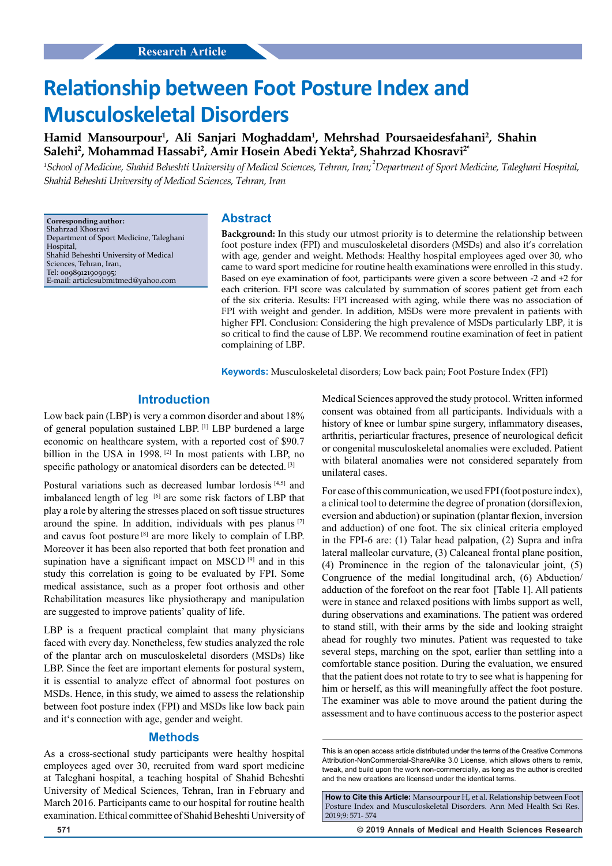# **Relationship between Foot Posture Index and Musculoskeletal Disorders**

**Hamid Mansourpour<sup>1</sup> , Ali Sanjari Moghaddam<sup>1</sup> , Mehrshad Poursaeidesfahani<sup>2</sup> , Shahin Salehi<sup>2</sup> , Mohammad Hassabi<sup>2</sup> , Amir Hosein Abedi Yekta<sup>2</sup> , Shahrzad Khosravi2\***

*<sup>1</sup>School of Medicine, Shahid Beheshti University of Medical Sciences, Tehran, Iran; <sup>2</sup> Department of Sport Medicine, Taleghani Hospital, Shahid Beheshti University of Medical Sciences, Tehran, Iran*

**Corresponding author:** Shahrzad Khosravi Department of Sport Medicine, Taleghani **Hospital** Shahid Beheshti University of Medical Sciences, Tehran, Iran, Tel: 00989121909095; E-mail: articlesubmitmed@yahoo.com

## **Abstract**

**Background:** In this study our utmost priority is to determine the relationship between foot posture index (FPI) and musculoskeletal disorders (MSDs) and also it's correlation with age, gender and weight. Methods: Healthy hospital employees aged over 30, who came to ward sport medicine for routine health examinations were enrolled in this study. Based on eye examination of foot, participants were given a score between -2 and +2 for each criterion. FPI score was calculated by summation of scores patient get from each of the six criteria. Results: FPI increased with aging, while there was no association of FPI with weight and gender. In addition, MSDs were more prevalent in patients with higher FPI. Conclusion: Considering the high prevalence of MSDs particularly LBP, it is so critical to find the cause of LBP. We recommend routine examination of feet in patient complaining of LBP.

**Keywords:** Musculoskeletal disorders; Low back pain; Foot Posture Index (FPI)

# **Introduction**

Low back pain (LBP) is very a common disorder and about 18% of general population sustained LBP. [1] LBP burdened a large economic on healthcare system, with a reported cost of \$90.7 billion in the USA in 1998.<sup>[2]</sup> In most patients with LBP, no specific pathology or anatomical disorders can be detected. [3]

Postural variations such as decreased lumbar lordosis<sup>[4,5]</sup> and imbalanced length of leg  $[6]$  are some risk factors of LBP that play a role by altering the stresses placed on soft tissue structures around the spine. In addition, individuals with pes planus [7] and cavus foot posture [8] are more likely to complain of LBP. Moreover it has been also reported that both feet pronation and supination have a significant impact on MSCD<sup>[9]</sup> and in this study this correlation is going to be evaluated by FPI. Some medical assistance, such as a proper foot orthosis and other Rehabilitation measures like physiotherapy and manipulation are suggested to improve patients' quality of life.

LBP is a frequent practical complaint that many physicians faced with every day. Nonetheless, few studies analyzed the role of the plantar arch on musculoskeletal disorders (MSDs) like LBP. Since the feet are important elements for postural system, it is essential to analyze effect of abnormal foot postures on MSDs. Hence, in this study, we aimed to assess the relationship between foot posture index (FPI) and MSDs like low back pain and it's connection with age, gender and weight.

## **Methods**

As a cross-sectional study participants were healthy hospital employees aged over 30, recruited from ward sport medicine at Taleghani hospital, a teaching hospital of Shahid Beheshti University of Medical Sciences, Tehran, Iran in February and March 2016. Participants came to our hospital for routine health examination. Ethical committee of Shahid Beheshti University of Medical Sciences approved the study protocol. Written informed consent was obtained from all participants. Individuals with a history of knee or lumbar spine surgery, inflammatory diseases, arthritis, periarticular fractures, presence of neurological deficit or congenital musculoskeletal anomalies were excluded. Patient with bilateral anomalies were not considered separately from unilateral cases.

For ease of this communication, we used FPI (foot posture index), a clinical tool to determine the degree of pronation (dorsiflexion, eversion and abduction) or supination (plantar flexion, inversion and adduction) of one foot. The six clinical criteria employed in the FPI-6 are: (1) Talar head palpation, (2) Supra and infra lateral malleolar curvature, (3) Calcaneal frontal plane position, (4) Prominence in the region of the talonavicular joint, (5) Congruence of the medial longitudinal arch, (6) Abduction/ adduction of the forefoot on the rear foot [Table 1]. All patients were in stance and relaxed positions with limbs support as well, during observations and examinations. The patient was ordered to stand still, with their arms by the side and looking straight ahead for roughly two minutes. Patient was requested to take several steps, marching on the spot, earlier than settling into a comfortable stance position. During the evaluation, we ensured that the patient does not rotate to try to see what is happening for him or herself, as this will meaningfully affect the foot posture. The examiner was able to move around the patient during the assessment and to have continuous access to the posterior aspect

**571 © 2019 Annals of Medical and Health Sciences Research** 

This is an open access article distributed under the terms of the Creative Commons Attribution‑NonCommercial‑ShareAlike 3.0 License, which allows others to remix, tweak, and build upon the work non‑commercially, as long as the author is credited and the new creations are licensed under the identical terms.

**How to Cite this Article:** Mansourpour H, et al. Relationship between Foot Posture Index and Musculoskeletal Disorders. Ann Med Health Sci Res. 2019;9: 571- 574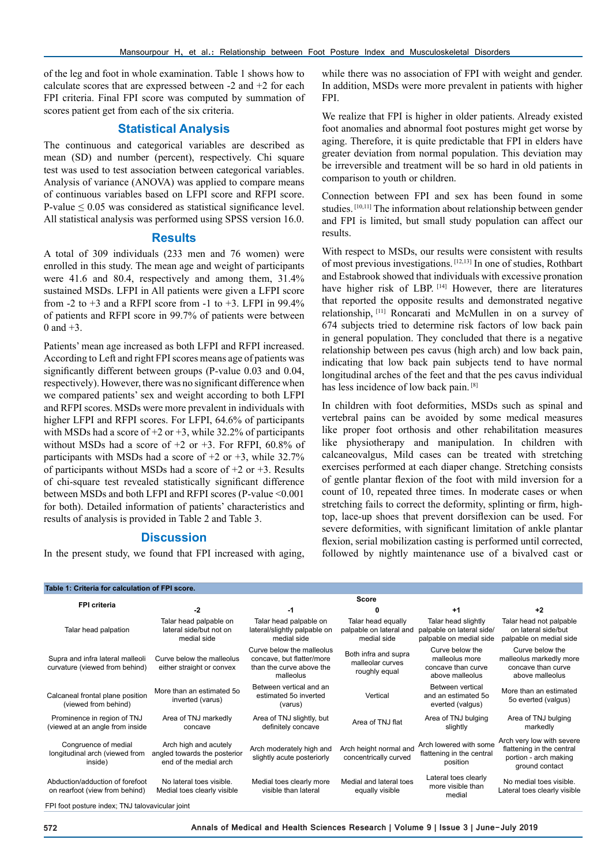of the leg and foot in whole examination. Table 1 shows how to calculate scores that are expressed between -2 and +2 for each FPI criteria. Final FPI score was computed by summation of scores patient get from each of the six criteria.

## **Statistical Analysis**

The continuous and categorical variables are described as mean (SD) and number (percent), respectively. Chi square test was used to test association between categorical variables. Analysis of variance (ANOVA) was applied to compare means of continuous variables based on LFPI score and RFPI score. P-value  $\leq 0.05$  was considered as statistical significance level. All statistical analysis was performed using SPSS version 16.0.

#### **Results**

A total of 309 individuals (233 men and 76 women) were enrolled in this study. The mean age and weight of participants were 41.6 and 80.4, respectively and among them, 31.4% sustained MSDs. LFPI in All patients were given a LFPI score from  $-2$  to  $+3$  and a RFPI score from  $-1$  to  $+3$ . LFPI in 99.4% of patients and RFPI score in 99.7% of patients were between 0 and  $+3$ .

Patients' mean age increased as both LFPI and RFPI increased. According to Left and right FPI scores means age of patients was significantly different between groups (P-value 0.03 and 0.04, respectively). However, there was no significant difference when we compared patients' sex and weight according to both LFPI and RFPI scores. MSDs were more prevalent in individuals with higher LFPI and RFPI scores. For LFPI, 64.6% of participants with MSDs had a score of  $+2$  or  $+3$ , while 32.2% of participants without MSDs had a score of  $+2$  or  $+3$ . For RFPI, 60.8% of participants with MSDs had a score of  $+2$  or  $+3$ , while 32.7% of participants without MSDs had a score of  $+2$  or  $+3$ . Results of chi-square test revealed statistically significant difference between MSDs and both LFPI and RFPI scores (P-value <0.001 for both). Detailed information of patients' characteristics and results of analysis is provided in Table 2 and Table 3.

## **Discussion**

In the present study, we found that FPI increased with aging,

while there was no association of FPI with weight and gender. In addition, MSDs were more prevalent in patients with higher FPI.

We realize that FPI is higher in older patients. Already existed foot anomalies and abnormal foot postures might get worse by aging. Therefore, it is quite predictable that FPI in elders have greater deviation from normal population. This deviation may be irreversible and treatment will be so hard in old patients in comparison to youth or children.

Connection between FPI and sex has been found in some studies. [10,11] The information about relationship between gender and FPI is limited, but small study population can affect our results.

With respect to MSDs, our results were consistent with results of most previous investigations. [12,13] In one of studies, Rothbart and Estabrook showed that individuals with excessive pronation have higher risk of LBP.<sup>[14]</sup> However, there are literatures that reported the opposite results and demonstrated negative relationship, [11] Roncarati and McMullen in on a survey of 674 subjects tried to determine risk factors of low back pain in general population. They concluded that there is a negative relationship between pes cavus (high arch) and low back pain, indicating that low back pain subjects tend to have normal longitudinal arches of the feet and that the pes cavus individual has less incidence of low back pain. [8]

In children with foot deformities, MSDs such as spinal and vertebral pains can be avoided by some medical measures like proper foot orthosis and other rehabilitation measures like physiotherapy and manipulation. In children with calcaneovalgus, Mild cases can be treated with stretching exercises performed at each diaper change. Stretching consists of gentle plantar flexion of the foot with mild inversion for a count of 10, repeated three times. In moderate cases or when stretching fails to correct the deformity, splinting or firm, hightop, lace-up shoes that prevent dorsiflexion can be used. For severe deformities, with significant limitation of ankle plantar flexion, serial mobilization casting is performed until corrected, followed by nightly maintenance use of a bivalved cast or

| Table 1: Criteria for calculation of FPI score.                    |                                                                                 |                                                                                                 |                                                              |                                                                             |                                                                                                   |  |  |  |
|--------------------------------------------------------------------|---------------------------------------------------------------------------------|-------------------------------------------------------------------------------------------------|--------------------------------------------------------------|-----------------------------------------------------------------------------|---------------------------------------------------------------------------------------------------|--|--|--|
| <b>FPI criteria</b>                                                | <b>Score</b>                                                                    |                                                                                                 |                                                              |                                                                             |                                                                                                   |  |  |  |
|                                                                    | -2                                                                              | -1                                                                                              | 0                                                            | $+1$                                                                        | $+2$                                                                                              |  |  |  |
| Talar head palpation                                               | Talar head palpable on<br>lateral side/but not on<br>medial side                | Talar head palpable on<br>lateral/slightly palpable on<br>medial side                           | Talar head equally<br>palpable on lateral and<br>medial side | Talar head slightly<br>palpable on lateral side/<br>palpable on medial side | Talar head not palpable<br>on lateral side/but<br>palpable on medial side                         |  |  |  |
| Supra and infra lateral malleoli<br>curvature (viewed from behind) | Curve below the malleolus<br>either straight or convex                          | Curve below the malleolus<br>concave, but flatter/more<br>than the curve above the<br>malleolus | Both infra and supra<br>malleolar curves<br>roughly equal    | Curve below the<br>malleolus more<br>concave than curve<br>above malleolus  | Curve below the<br>malleolus markedly more<br>concave than curve<br>above malleolus               |  |  |  |
| Calcaneal frontal plane position<br>(viewed from behind)           | More than an estimated 50<br>inverted (varus)                                   | Between vertical and an<br>estimated 50 inverted<br>(varus)                                     | Vertical                                                     | Between vertical<br>and an estimated 5o<br>everted (valgus)                 | More than an estimated<br>50 everted (valgus)                                                     |  |  |  |
| Prominence in region of TNJ<br>(viewed at an angle from inside     | Area of TNJ markedly<br>concave                                                 | Area of TNJ slightly, but<br>definitely concave                                                 | Area of TNJ flat                                             | Area of TNJ bulging<br>slightly                                             | Area of TNJ bulging<br>markedly                                                                   |  |  |  |
| Congruence of medial<br>longitudinal arch (viewed from<br>inside)  | Arch high and acutely<br>angled towards the posterior<br>end of the medial arch | Arch moderately high and<br>slightly acute posteriorly                                          | Arch height normal and<br>concentrically curved              | Arch lowered with some<br>flattening in the central<br>position             | Arch very low with severe<br>flattening in the central<br>portion - arch making<br>ground contact |  |  |  |
| Abduction/adduction of forefoot<br>on rearfoot (view from behind)  | No lateral toes visible.<br>Medial toes clearly visible                         | Medial toes clearly more<br>visible than lateral                                                | Medial and lateral toes<br>equally visible                   | Lateral toes clearly<br>more visible than<br>medial                         | No medial toes visible.<br>Lateral toes clearly visible                                           |  |  |  |

FPI foot posture index; TNJ talovavicular joint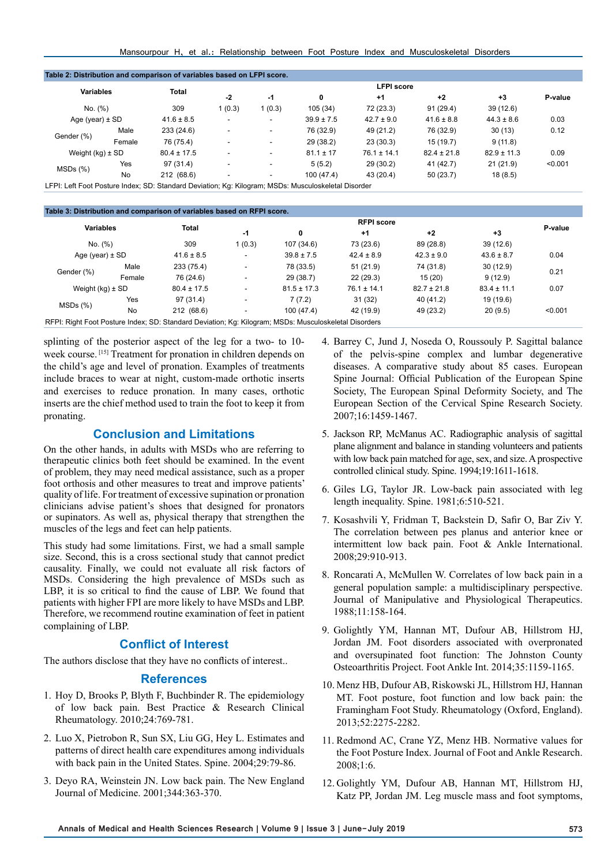| Mansourpour H, et al.: Relationship between Foot Posture Index and Musculoskeletal Disorders |  |
|----------------------------------------------------------------------------------------------|--|
|----------------------------------------------------------------------------------------------|--|

| Table 2: Distribution and comparison of variables based on LFPI score.                              |        |                 |                   |                          |                |                 |                 |                 |         |  |
|-----------------------------------------------------------------------------------------------------|--------|-----------------|-------------------|--------------------------|----------------|-----------------|-----------------|-----------------|---------|--|
| <b>Variables</b>                                                                                    |        |                 | <b>LFPI</b> score |                          |                |                 |                 |                 |         |  |
|                                                                                                     |        | <b>Total</b>    | $-2$              | $-1$                     | 0              | $+1$            | $+2$            | $+3$            | P-value |  |
| No. (%)                                                                                             |        | 309             | 1(0.3)            | 1(0.3)                   | 105 (34)       | 72 (23.3)       | 91(29.4)        | 39(12.6)        |         |  |
| Age (year) $\pm$ SD                                                                                 |        | $41.6 \pm 8.5$  |                   | $\overline{\phantom{a}}$ | $39.9 \pm 7.5$ | $42.7 \pm 9.0$  | $41.6 \pm 8.8$  | $44.3 \pm 8.6$  | 0.03    |  |
| Gender (%)                                                                                          | Male   | 233 (24.6)      |                   | $\overline{\phantom{a}}$ | 76 (32.9)      | 49 (21.2)       | 76 (32.9)       | 30(13)          | 0.12    |  |
|                                                                                                     | Female | 76 (75.4)       |                   | $\overline{\phantom{a}}$ | 29 (38.2)      | 23(30.3)        | 15 (19.7)       | 9(11.8)         |         |  |
| Weight $(kg) \pm SD$                                                                                |        | $80.4 \pm 17.5$ |                   | $\overline{\phantom{a}}$ | $81.1 \pm 17$  | $76.1 \pm 14.1$ | $82.4 \pm 21.8$ | $82.9 \pm 11.3$ | 0.09    |  |
| MSDs(%)                                                                                             | Yes    | 97 (31.4)       |                   | $\overline{\phantom{a}}$ | 5(5.2)         | 29(30.2)        | 41 (42.7)       | 21(21.9)        | < 0.001 |  |
|                                                                                                     | No     | 212 (68.6)      |                   | $\overline{\phantom{a}}$ | 100(47.4)      | 43 (20.4)       | 50(23.7)        | 18(8.5)         |         |  |
| LFPI: Left Foot Posture Index; SD: Standard Deviation; Kg: Kilogram; MSDs: Musculoskeletal Disorder |        |                 |                   |                          |                |                 |                 |                 |         |  |

| Table 3: Distribution and comparison of variables based on RFPI score. |        |                                                                                                       |                          |                 |                 |                 |                 |         |
|------------------------------------------------------------------------|--------|-------------------------------------------------------------------------------------------------------|--------------------------|-----------------|-----------------|-----------------|-----------------|---------|
| <b>Variables</b>                                                       |        | <b>Total</b>                                                                                          |                          |                 | P-value         |                 |                 |         |
|                                                                        |        |                                                                                                       | -1                       | 0               | $+1$            | $+2$            | $+3$            |         |
| No. (%)                                                                |        | 309                                                                                                   | 1(0.3)                   | 107 (34.6)      | 73 (23.6)       | 89 (28.8)       | 39(12.6)        |         |
| Age (year) $\pm$ SD                                                    |        | $41.6 \pm 8.5$                                                                                        | $\overline{\phantom{a}}$ | $39.8 \pm 7.5$  | $42.4 \pm 8.9$  | $42.3 \pm 9.0$  | $43.6 \pm 8.7$  | 0.04    |
| Gender (%)                                                             | Male   | 233 (75.4)                                                                                            | $\overline{\phantom{a}}$ | 78 (33.5)       | 51(21.9)        | 74 (31.8)       | 30(12.9)        | 0.21    |
|                                                                        | Female | 76 (24.6)                                                                                             | $\overline{\phantom{a}}$ | 29 (38.7)       | 22(29.3)        | 15(20)          | 9(12.9)         |         |
| Weight $(kq) \pm SD$                                                   |        | $80.4 \pm 17.5$                                                                                       | $\overline{\phantom{a}}$ | $81.5 \pm 17.3$ | $76.1 \pm 14.1$ | $82.7 \pm 21.8$ | $83.4 \pm 11.1$ | 0.07    |
| $MSDs$ $(\%)$                                                          | Yes    | 97 (31.4)                                                                                             | $\overline{\phantom{a}}$ | 7(7.2)          | 31 (32)         | 40 (41.2)       | 19 (19.6)       |         |
|                                                                        | No     | 212 (68.6)                                                                                            | $\overline{\phantom{a}}$ | 100(47.4)       | 42 (19.9)       | 49 (23.2)       | 20(9.5)         | < 0.001 |
|                                                                        |        | RFPI: Right Foot Posture Index; SD: Standard Deviation; Kg: Kilogram; MSDs: Musculoskeletal Disorders |                          |                 |                 |                 |                 |         |

splinting of the posterior aspect of the leg for a two- to 10 week course. [15] Treatment for pronation in children depends on the child's age and level of pronation. Examples of treatments include braces to wear at night, custom-made orthotic inserts and exercises to reduce pronation. In many cases, orthotic inserts are the chief method used to train the foot to keep it from pronating.

## **Conclusion and Limitations**

On the other hands, in adults with MSDs who are referring to therapeutic clinics both feet should be examined. In the event of problem, they may need medical assistance, such as a proper foot orthosis and other measures to treat and improve patients' quality of life. For treatment of excessive supination or pronation clinicians advise patient's shoes that designed for pronators or supinators. As well as, physical therapy that strengthen the muscles of the legs and feet can help patients.

This study had some limitations. First, we had a small sample size. Second, this is a cross sectional study that cannot predict causality. Finally, we could not evaluate all risk factors of MSDs. Considering the high prevalence of MSDs such as LBP, it is so critical to find the cause of LBP. We found that patients with higher FPI are more likely to have MSDs and LBP. Therefore, we recommend routine examination of feet in patient complaining of LBP.

# **Conflict of Interest**

The authors disclose that they have no conflicts of interest..

### **References**

- 1. Hoy D, Brooks P, Blyth F, Buchbinder R. The epidemiology of low back pain. Best Practice & Research Clinical Rheumatology. 2010;24:769-781.
- 2. Luo X, Pietrobon R, Sun SX, Liu GG, Hey L. Estimates and patterns of direct health care expenditures among individuals with back pain in the United States. Spine. 2004;29:79-86.
- 3. Deyo RA, Weinstein JN. Low back pain. The New England Journal of Medicine. 2001;344:363-370.
- 4. Barrey C, Jund J, Noseda O, Roussouly P. Sagittal balance of the pelvis-spine complex and lumbar degenerative diseases. A comparative study about 85 cases. European Spine Journal: Official Publication of the European Spine Society, The European Spinal Deformity Society, and The European Section of the Cervical Spine Research Society. 2007;16:1459-1467.
- 5. Jackson RP, McManus AC. Radiographic analysis of sagittal plane alignment and balance in standing volunteers and patients with low back pain matched for age, sex, and size. A prospective controlled clinical study. Spine. 1994;19:1611-1618.
- 6. Giles LG, Taylor JR. Low-back pain associated with leg length inequality. Spine. 1981;6:510-521.
- 7. Kosashvili Y, Fridman T, Backstein D, Safir O, Bar Ziv Y. The correlation between pes planus and anterior knee or intermittent low back pain. Foot & Ankle International. 2008;29:910-913.
- 8. Roncarati A, McMullen W. Correlates of low back pain in a general population sample: a multidisciplinary perspective. Journal of Manipulative and Physiological Therapeutics. 1988;11:158-164.
- 9. Golightly YM, Hannan MT, Dufour AB, Hillstrom HJ, Jordan JM. Foot disorders associated with overpronated and oversupinated foot function: The Johnston County Osteoarthritis Project. Foot Ankle Int. 2014;35:1159-1165.
- 10. Menz HB, Dufour AB, Riskowski JL, Hillstrom HJ, Hannan MT. Foot posture, foot function and low back pain: the Framingham Foot Study. Rheumatology (Oxford, England). 2013;52:2275-2282.
- 11. Redmond AC, Crane YZ, Menz HB. Normative values for the Foot Posture Index. Journal of Foot and Ankle Research. 2008;1:6.
- 12. Golightly YM, Dufour AB, Hannan MT, Hillstrom HJ, Katz PP, Jordan JM. Leg muscle mass and foot symptoms,